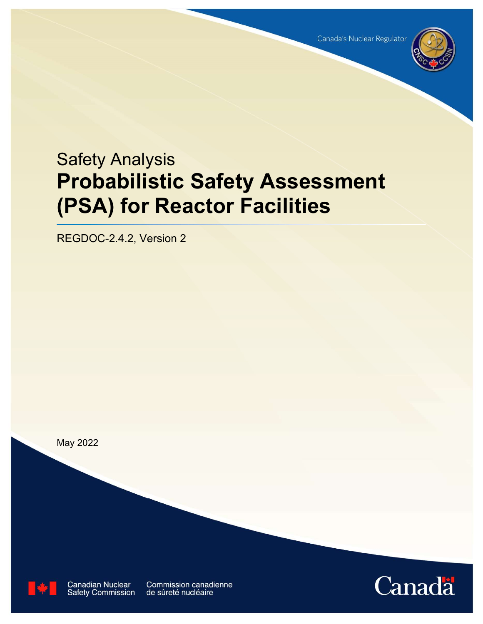

# Safety Analysis Probabilistic Safety Assessment (PSA) for Reactor Facilities

REGDOC-2.4.2, Version 2

May 2022



**Canadian Nuclear Safety Commission**  **Commission canadienne** de sûreté nucléaire

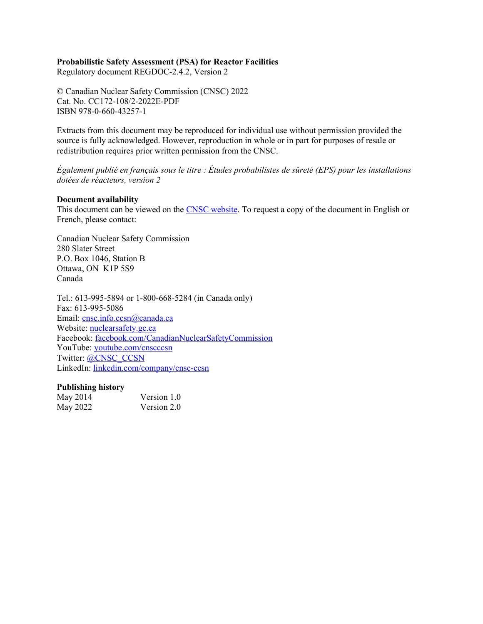#### Probabilistic Safety Assessment (PSA) for Reactor Facilities

Regulatory document REGDOC-2.4.2, Version 2

© Canadian Nuclear Safety Commission (CNSC) 2022 Cat. No. CC172-108/2-2022E-PDF ISBN 978-0-660-43257-1

Extracts from this document may be reproduced for individual use without permission provided the source is fully acknowledged. However, reproduction in whole or in part for purposes of resale or redistribution requires prior written permission from the CNSC.

Également publié en français sous le titre : Études probabilistes de sûreté (EPS) pour les installations dotées de réacteurs, version 2

#### Document availability

This document can be viewed on the CNSC website. To request a copy of the document in English or French, please contact:

Canadian Nuclear Safety Commission 280 Slater Street P.O. Box 1046, Station B Ottawa, ON K1P 5S9 Canada

Tel.: 613-995-5894 or 1-800-668-5284 (in Canada only) Fax: 613-995-5086 Email: cnsc.info.ccsn@canada.ca Website: nuclearsafety.gc.ca Facebook: facebook.com/CanadianNuclearSafetyCommission YouTube: youtube.com/cnscccsn Twitter: @CNSC\_CCSN LinkedIn: linkedin.com/company/cnsc-ccsn

#### Publishing history

| May 2014 | Version 1.0 |
|----------|-------------|
| May 2022 | Version 2.0 |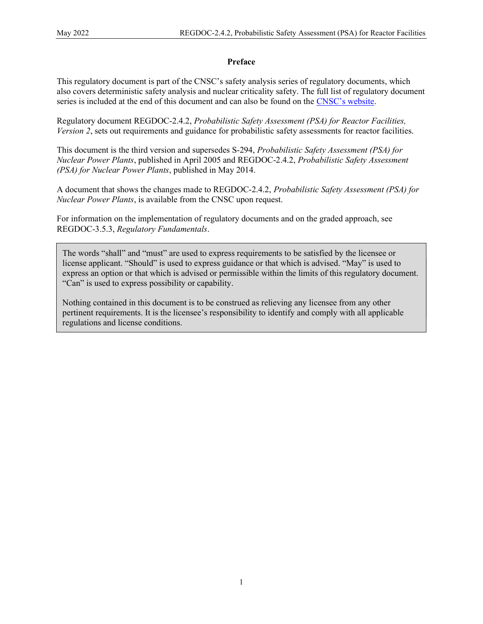## Preface

This regulatory document is part of the CNSC's safety analysis series of regulatory documents, which also covers deterministic safety analysis and nuclear criticality safety. The full list of regulatory document series is included at the end of this document and can also be found on the CNSC's website.

Regulatory document REGDOC-2.4.2, Probabilistic Safety Assessment (PSA) for Reactor Facilities, Version 2, sets out requirements and guidance for probabilistic safety assessments for reactor facilities.

This document is the third version and supersedes S-294, Probabilistic Safety Assessment (PSA) for Nuclear Power Plants, published in April 2005 and REGDOC-2.4.2, Probabilistic Safety Assessment (PSA) for Nuclear Power Plants, published in May 2014.

A document that shows the changes made to REGDOC-2.4.2, Probabilistic Safety Assessment (PSA) for Nuclear Power Plants, is available from the CNSC upon request.

For information on the implementation of regulatory documents and on the graded approach, see REGDOC-3.5.3, Regulatory Fundamentals.

The words "shall" and "must" are used to express requirements to be satisfied by the licensee or license applicant. "Should" is used to express guidance or that which is advised. "May" is used to express an option or that which is advised or permissible within the limits of this regulatory document. "Can" is used to express possibility or capability.

Nothing contained in this document is to be construed as relieving any licensee from any other pertinent requirements. It is the licensee's responsibility to identify and comply with all applicable regulations and license conditions.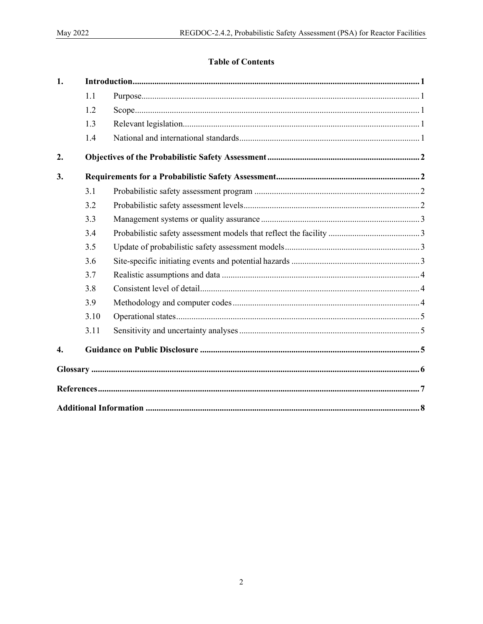## **Table of Contents**

| $\mathbf{1}$ .   |      |  |  |  |
|------------------|------|--|--|--|
|                  | 1.1  |  |  |  |
|                  | 1.2  |  |  |  |
|                  | 1.3  |  |  |  |
|                  | 1.4  |  |  |  |
| 2.               |      |  |  |  |
| 3.               |      |  |  |  |
|                  | 3.1  |  |  |  |
|                  | 3.2  |  |  |  |
|                  | 3.3  |  |  |  |
|                  | 3.4  |  |  |  |
|                  | 3.5  |  |  |  |
|                  | 3.6  |  |  |  |
|                  | 3.7  |  |  |  |
|                  | 3.8  |  |  |  |
|                  | 3.9  |  |  |  |
|                  | 3.10 |  |  |  |
|                  | 3.11 |  |  |  |
| $\overline{4}$ . |      |  |  |  |
|                  |      |  |  |  |
|                  |      |  |  |  |
|                  |      |  |  |  |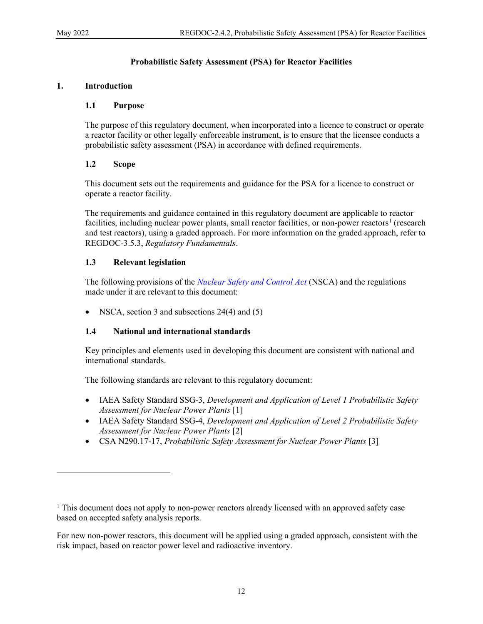## Probabilistic Safety Assessment (PSA) for Reactor Facilities

## 1. Introduction

#### 1.1 Purpose

The purpose of this regulatory document, when incorporated into a licence to construct or operate a reactor facility or other legally enforceable instrument, is to ensure that the licensee conducts a probabilistic safety assessment (PSA) in accordance with defined requirements.

## 1.2 Scope

This document sets out the requirements and guidance for the PSA for a licence to construct or operate a reactor facility.

The requirements and guidance contained in this regulatory document are applicable to reactor facilities, including nuclear power plants, small reactor facilities, or non-power reactors<sup>1</sup> (research and test reactors), using a graded approach. For more information on the graded approach, refer to REGDOC-3.5.3, Regulatory Fundamentals.

## 1.3 Relevant legislation

The following provisions of the *Nuclear Safety and Control Act* (NSCA) and the regulations made under it are relevant to this document:

NSCA, section 3 and subsections 24(4) and (5)

## 1.4 National and international standards

Key principles and elements used in developing this document are consistent with national and international standards.

The following standards are relevant to this regulatory document:

- IAEA Safety Standard SSG-3, Development and Application of Level 1 Probabilistic Safety Assessment for Nuclear Power Plants [1]
- IAEA Safety Standard SSG-4, *Development and Application of Level 2 Probabilistic Safety* Assessment for Nuclear Power Plants [2]
- CSA N290.17-17, Probabilistic Safety Assessment for Nuclear Power Plants [3]

For new non-power reactors, this document will be applied using a graded approach, consistent with the risk impact, based on reactor power level and radioactive inventory.

<sup>&</sup>lt;sup>1</sup> This document does not apply to non-power reactors already licensed with an approved safety case based on accepted safety analysis reports.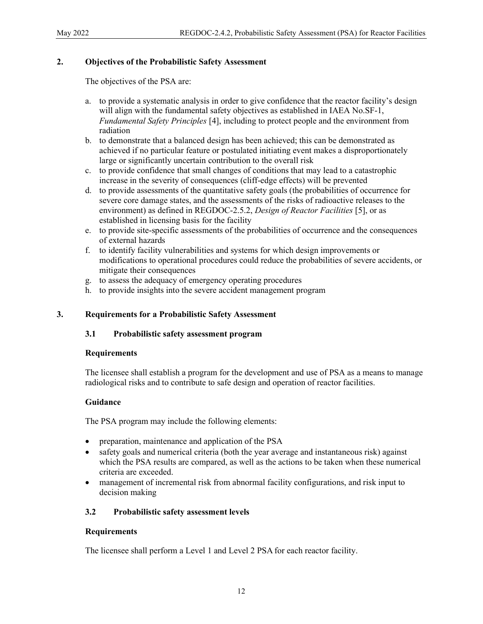## 2. Objectives of the Probabilistic Safety Assessment

The objectives of the PSA are:

- a. to provide a systematic analysis in order to give confidence that the reactor facility's design will align with the fundamental safety objectives as established in IAEA No.SF-1, Fundamental Safety Principles [4], including to protect people and the environment from radiation
- b. to demonstrate that a balanced design has been achieved; this can be demonstrated as achieved if no particular feature or postulated initiating event makes a disproportionately large or significantly uncertain contribution to the overall risk
- c. to provide confidence that small changes of conditions that may lead to a catastrophic increase in the severity of consequences (cliff-edge effects) will be prevented
- d. to provide assessments of the quantitative safety goals (the probabilities of occurrence for severe core damage states, and the assessments of the risks of radioactive releases to the environment) as defined in REGDOC-2.5.2, Design of Reactor Facilities [5], or as established in licensing basis for the facility
- e. to provide site-specific assessments of the probabilities of occurrence and the consequences of external hazards
- f. to identify facility vulnerabilities and systems for which design improvements or modifications to operational procedures could reduce the probabilities of severe accidents, or mitigate their consequences
- g. to assess the adequacy of emergency operating procedures
- h. to provide insights into the severe accident management program

#### 3. Requirements for a Probabilistic Safety Assessment

#### 3.1 Probabilistic safety assessment program

#### Requirements

The licensee shall establish a program for the development and use of PSA as a means to manage radiological risks and to contribute to safe design and operation of reactor facilities.

#### Guidance

The PSA program may include the following elements:

- preparation, maintenance and application of the PSA
- safety goals and numerical criteria (both the year average and instantaneous risk) against which the PSA results are compared, as well as the actions to be taken when these numerical criteria are exceeded.
- management of incremental risk from abnormal facility configurations, and risk input to decision making

#### 3.2 Probabilistic safety assessment levels

#### Requirements

The licensee shall perform a Level 1 and Level 2 PSA for each reactor facility.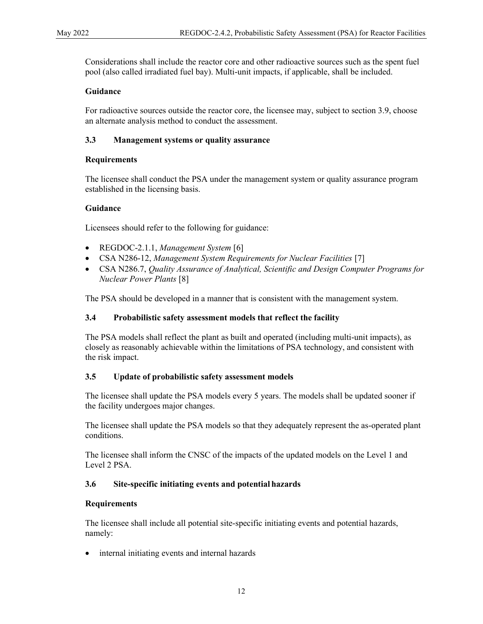Considerations shall include the reactor core and other radioactive sources such as the spent fuel pool (also called irradiated fuel bay). Multi-unit impacts, if applicable, shall be included.

#### Guidance

For radioactive sources outside the reactor core, the licensee may, subject to section 3.9, choose an alternate analysis method to conduct the assessment.

#### 3.3 Management systems or quality assurance

#### **Requirements**

The licensee shall conduct the PSA under the management system or quality assurance program established in the licensing basis.

#### Guidance

Licensees should refer to the following for guidance:

- REGDOC-2.1.1, Management System [6]
- CSA N286-12, Management System Requirements for Nuclear Facilities [7]
- CSA N286.7, Quality Assurance of Analytical, Scientific and Design Computer Programs for Nuclear Power Plants [8]

The PSA should be developed in a manner that is consistent with the management system.

#### 3.4 Probabilistic safety assessment models that reflect the facility

The PSA models shall reflect the plant as built and operated (including multi-unit impacts), as closely as reasonably achievable within the limitations of PSA technology, and consistent with the risk impact.

#### 3.5 Update of probabilistic safety assessment models

The licensee shall update the PSA models every 5 years. The models shall be updated sooner if the facility undergoes major changes.

The licensee shall update the PSA models so that they adequately represent the as-operated plant conditions.

The licensee shall inform the CNSC of the impacts of the updated models on the Level 1 and Level 2 PSA.

#### 3.6 Site-specific initiating events and potential hazards

#### Requirements

The licensee shall include all potential site-specific initiating events and potential hazards, namely:

• internal initiating events and internal hazards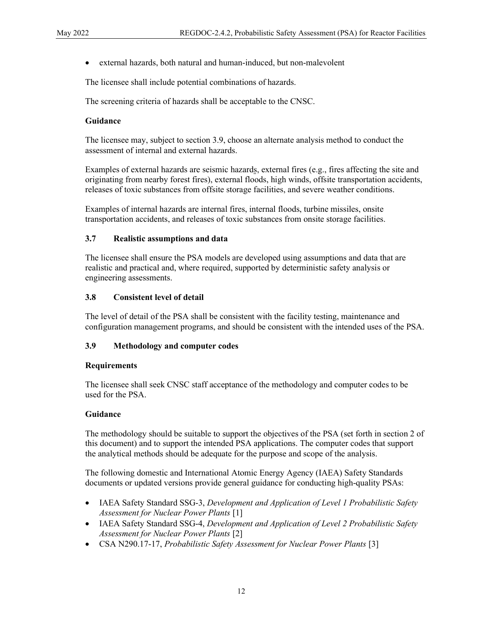external hazards, both natural and human-induced, but non-malevolent

The licensee shall include potential combinations of hazards.

The screening criteria of hazards shall be acceptable to the CNSC.

#### Guidance

The licensee may, subject to section 3.9, choose an alternate analysis method to conduct the assessment of internal and external hazards.

Examples of external hazards are seismic hazards, external fires (e.g., fires affecting the site and originating from nearby forest fires), external floods, high winds, offsite transportation accidents, releases of toxic substances from offsite storage facilities, and severe weather conditions.

Examples of internal hazards are internal fires, internal floods, turbine missiles, onsite transportation accidents, and releases of toxic substances from onsite storage facilities.

#### 3.7 Realistic assumptions and data

The licensee shall ensure the PSA models are developed using assumptions and data that are realistic and practical and, where required, supported by deterministic safety analysis or engineering assessments.

#### 3.8 Consistent level of detail

The level of detail of the PSA shall be consistent with the facility testing, maintenance and configuration management programs, and should be consistent with the intended uses of the PSA.

#### 3.9 Methodology and computer codes

#### Requirements

The licensee shall seek CNSC staff acceptance of the methodology and computer codes to be used for the PSA.

#### Guidance

The methodology should be suitable to support the objectives of the PSA (set forth in section 2 of this document) and to support the intended PSA applications. The computer codes that support the analytical methods should be adequate for the purpose and scope of the analysis.

The following domestic and International Atomic Energy Agency (IAEA) Safety Standards documents or updated versions provide general guidance for conducting high-quality PSAs:

- IAEA Safety Standard SSG-3, Development and Application of Level 1 Probabilistic Safety Assessment for Nuclear Power Plants [1]
- IAEA Safety Standard SSG-4, Development and Application of Level 2 Probabilistic Safety Assessment for Nuclear Power Plants [2]
- CSA N290.17-17, Probabilistic Safety Assessment for Nuclear Power Plants [3]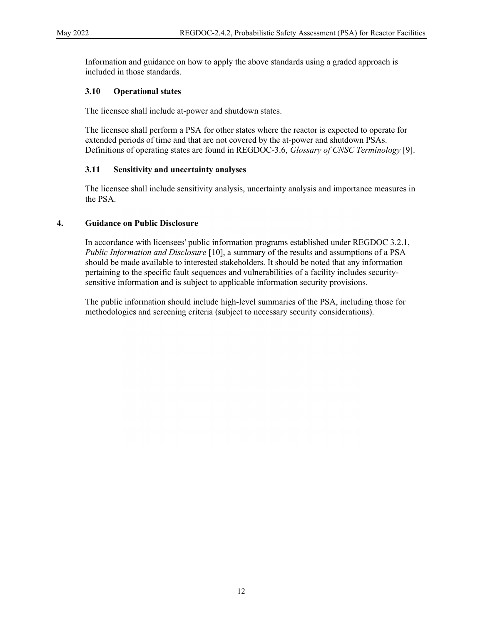Information and guidance on how to apply the above standards using a graded approach is included in those standards.

#### 3.10 Operational states

The licensee shall include at-power and shutdown states.

The licensee shall perform a PSA for other states where the reactor is expected to operate for extended periods of time and that are not covered by the at-power and shutdown PSAs. Definitions of operating states are found in REGDOC-3.6, Glossary of CNSC Terminology [9].

#### 3.11 Sensitivity and uncertainty analyses

The licensee shall include sensitivity analysis, uncertainty analysis and importance measures in the PSA.

#### 4. Guidance on Public Disclosure

In accordance with licensees' public information programs established under REGDOC 3.2.1, Public Information and Disclosure [10], a summary of the results and assumptions of a PSA should be made available to interested stakeholders. It should be noted that any information pertaining to the specific fault sequences and vulnerabilities of a facility includes securitysensitive information and is subject to applicable information security provisions.

The public information should include high-level summaries of the PSA, including those for methodologies and screening criteria (subject to necessary security considerations).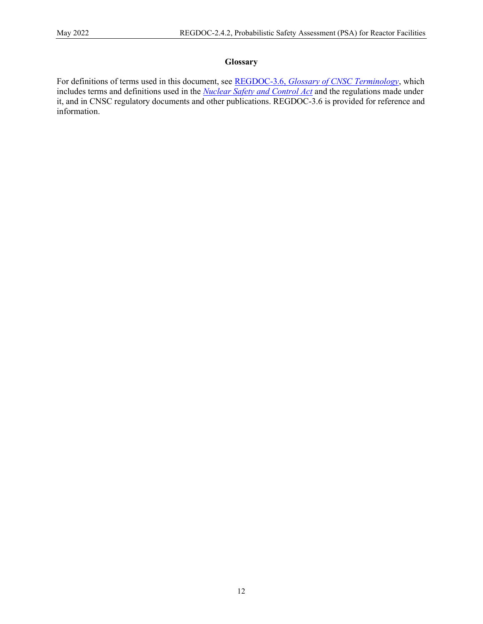#### Glossary

For definitions of terms used in this document, see REGDOC-3.6, Glossary of CNSC Terminology, which includes terms and definitions used in the Nuclear Safety and Control Act and the regulations made under it, and in CNSC regulatory documents and other publications. REGDOC-3.6 is provided for reference and information.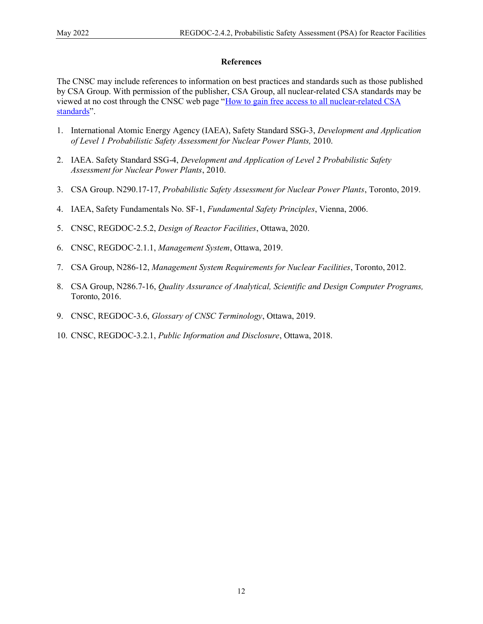#### References

The CNSC may include references to information on best practices and standards such as those published by CSA Group. With permission of the publisher, CSA Group, all nuclear-related CSA standards may be viewed at no cost through the CNSC web page "How to gain free access to all nuclear-related CSA standards".

- 1. International Atomic Energy Agency (IAEA), Safety Standard SSG-3, Development and Application of Level 1 Probabilistic Safety Assessment for Nuclear Power Plants, 2010.
- 2. IAEA. Safety Standard SSG-4, Development and Application of Level 2 Probabilistic Safety Assessment for Nuclear Power Plants, 2010.
- 3. CSA Group. N290.17-17, Probabilistic Safety Assessment for Nuclear Power Plants, Toronto, 2019.
- 4. IAEA, Safety Fundamentals No. SF-1, Fundamental Safety Principles, Vienna, 2006.
- 5. CNSC, REGDOC-2.5.2, Design of Reactor Facilities, Ottawa, 2020.
- 6. CNSC, REGDOC-2.1.1, Management System, Ottawa, 2019.
- 7. CSA Group, N286-12, Management System Requirements for Nuclear Facilities, Toronto, 2012.
- 8. CSA Group, N286.7-16, Quality Assurance of Analytical, Scientific and Design Computer Programs, Toronto, 2016.
- 9. CNSC, REGDOC-3.6, Glossary of CNSC Terminology, Ottawa, 2019.
- 10. CNSC, REGDOC-3.2.1, Public Information and Disclosure, Ottawa, 2018.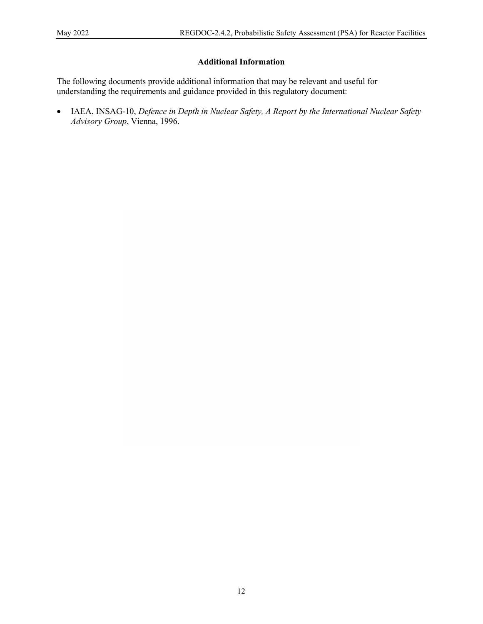## Additional Information

The following documents provide additional information that may be relevant and useful for understanding the requirements and guidance provided in this regulatory document:

• IAEA, INSAG-10, Defence in Depth in Nuclear Safety, A Report by the International Nuclear Safety Advisory Group, Vienna, 1996.